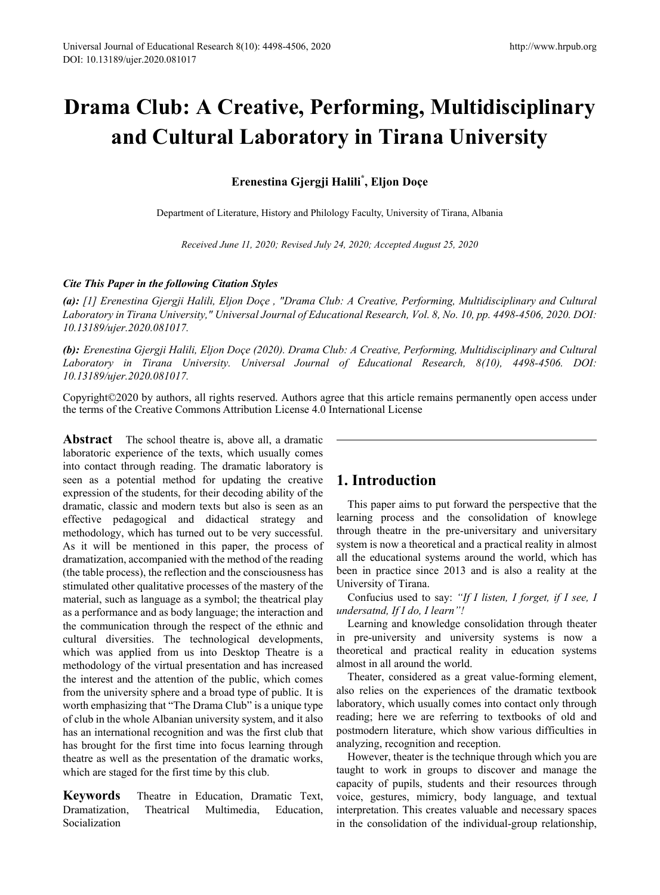# **Drama Club: A Creative, Performing, Multidisciplinary and Cultural Laboratory in Tirana University**

# **Erenestina Gjergji Halili\* , Eljon Doçe**

Department of Literature, History and Philology Faculty, University of Tirana, Albania

*Received June 11, 2020; Revised July 24, 2020; Accepted August 25, 2020*

## *Cite This Paper in the following Citation Styles*

*(a): [1] Erenestina Gjergji Halili, Eljon Doçe , "Drama Club: A Creative, Performing, Multidisciplinary and Cultural Laboratory in Tirana University," Universal Journal of Educational Research, Vol. 8, No. 10, pp. 4498-4506, 2020. DOI: 10.13189/ujer.2020.081017.* 

*(b): Erenestina Gjergji Halili, Eljon Doçe (2020). Drama Club: A Creative, Performing, Multidisciplinary and Cultural Laboratory in Tirana University. Universal Journal of Educational Research, 8(10), 4498-4506. DOI: 10.13189/ujer.2020.081017.* 

Copyright©2020 by authors, all rights reserved. Authors agree that this article remains permanently open access under the terms of the Creative Commons Attribution License 4.0 International License

**Abstract** The school theatre is, above all, a dramatic laboratoric experience of the texts, which usually comes into contact through reading. The dramatic laboratory is seen as a potential method for updating the creative expression of the students, for their decoding ability of the dramatic, classic and modern texts but also is seen as an effective pedagogical and didactical strategy and methodology, which has turned out to be very successful. As it will be mentioned in this paper, the process of dramatization, accompanied with the method of the reading (the table process), the reflection and the consciousness has stimulated other qualitative processes of the mastery of the material, such as language as a symbol; the theatrical play as a performance and as body language; the interaction and the communication through the respect of the ethnic and cultural diversities. The technological developments, which was applied from us into Desktop Theatre is a methodology of the virtual presentation and has increased the interest and the attention of the public, which comes from the university sphere and a broad type of public. It is worth emphasizing that "The Drama Club" is a unique type of club in the whole Albanian university system, and it also has an international recognition and was the first club that has brought for the first time into focus learning through theatre as well as the presentation of the dramatic works, which are staged for the first time by this club.

**Keywords** Theatre in Education, Dramatic Text, Dramatization, Theatrical Multimedia, Education, Socialization

# **1. Introduction**

This paper aims to put forward the perspective that the learning process and the consolidation of knowlege through theatre in the pre-universitary and universitary system is now a theoretical and a practical reality in almost all the educational systems around the world, which has been in practice since 2013 and is also a reality at the University of Tirana.

Confucius used to say: *"If I listen, I forget, if I see, I undersatnd, If I do, I learn"!*

Learning and knowledge consolidation through theater in pre-university and university systems is now a theoretical and practical reality in education systems almost in all around the world.

Theater, considered as a great value-forming element, also relies on the experiences of the dramatic textbook laboratory, which usually comes into contact only through reading; here we are referring to textbooks of old and postmodern literature, which show various difficulties in analyzing, recognition and reception.

However, theater is the technique through which you are taught to work in groups to discover and manage the capacity of pupils, students and their resources through voice, gestures, mimicry, body language, and textual interpretation. This creates valuable and necessary spaces in the consolidation of the individual-group relationship,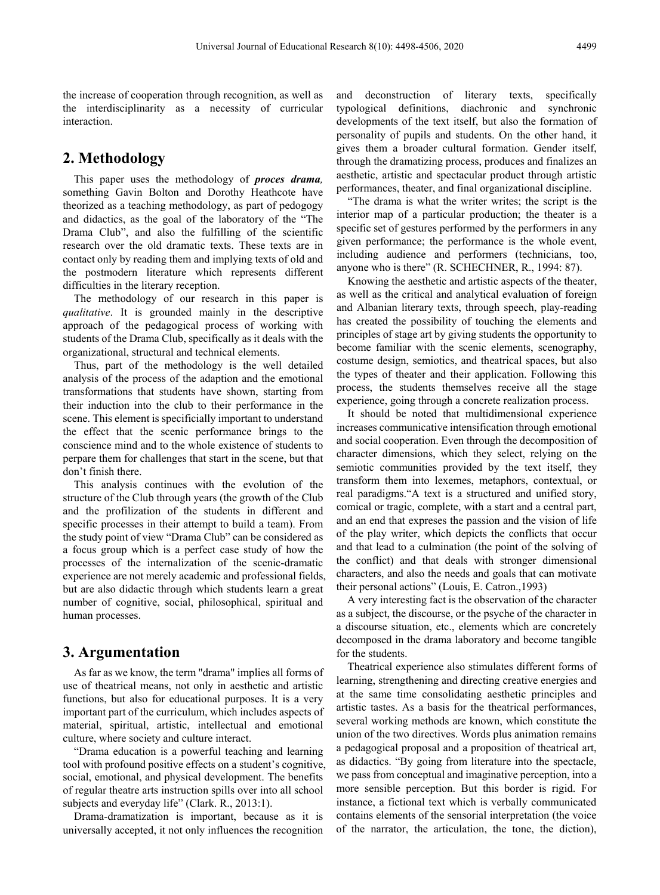the increase of cooperation through recognition, as well as the interdisciplinarity as a necessity of curricular interaction.

# **2. Methodology**

This paper uses the methodology of *proces drama,* something Gavin Bolton and Dorothy Heathcote have theorized as a teaching methodology, as part of pedogogy and didactics, as the goal of the laboratory of the "The Drama Club", and also the fulfilling of the scientific research over the old dramatic texts. These texts are in contact only by reading them and implying texts of old and the postmodern literature which represents different difficulties in the literary reception.

The methodology of our research in this paper is *qualitative*. It is grounded mainly in the descriptive approach of the pedagogical process of working with students of the Drama Club, specifically as it deals with the organizational, structural and technical elements.

Thus, part of the methodology is the well detailed analysis of the process of the adaption and the emotional transformations that students have shown, starting from their induction into the club to their performance in the scene. This element is specificially important to understand the effect that the scenic performance brings to the conscience mind and to the whole existence of students to perpare them for challenges that start in the scene, but that don't finish there.

This analysis continues with the evolution of the structure of the Club through years (the growth of the Club and the profilization of the students in different and specific processes in their attempt to build a team). From the study point of view "Drama Club" can be considered as a focus group which is a perfect case study of how the processes of the internalization of the scenic-dramatic experience are not merely academic and professional fields, but are also didactic through which students learn a great number of cognitive, social, philosophical, spiritual and human processes.

# **3. Argumentation**

As far as we know, the term "drama" implies all forms of use of theatrical means, not only in aesthetic and artistic functions, but also for educational purposes. It is a very important part of the curriculum, which includes aspects of material, spiritual, artistic, intellectual and emotional culture, where society and culture interact.

"Drama education is a powerful teaching and learning tool with profound positive effects on a student's cognitive, social, emotional, and physical development. The benefits of regular theatre arts instruction spills over into all school subjects and everyday life" (Clark. R., 2013:1).

Drama-dramatization is important, because as it is universally accepted, it not only influences the recognition

and deconstruction of literary texts, specifically typological definitions, diachronic and synchronic developments of the text itself, but also the formation of personality of pupils and students. On the other hand, it gives them a broader cultural formation. Gender itself, through the dramatizing process, produces and finalizes an aesthetic, artistic and spectacular product through artistic performances, theater, and final organizational discipline.

"The drama is what the writer writes; the script is the interior map of a particular production; the theater is a specific set of gestures performed by the performers in any given performance; the performance is the whole event, including audience and performers (technicians, too, anyone who is there" (R. SCHECHNER, R., 1994: 87).

Knowing the aesthetic and artistic aspects of the theater, as well as the critical and analytical evaluation of foreign and Albanian literary texts, through speech, play-reading has created the possibility of touching the elements and principles of stage art by giving students the opportunity to become familiar with the scenic elements, scenography, costume design, semiotics, and theatrical spaces, but also the types of theater and their application. Following this process, the students themselves receive all the stage experience, going through a concrete realization process.

It should be noted that multidimensional experience increases communicative intensification through emotional and social cooperation. Even through the decomposition of character dimensions, which they select, relying on the semiotic communities provided by the text itself, they transform them into lexemes, metaphors, contextual, or real paradigms."A text is a structured and unified story, comical or tragic, complete, with a start and a central part, and an end that expreses the passion and the vision of life of the play writer, which depicts the conflicts that occur and that lead to a culmination (the point of the solving of the conflict) and that deals with stronger dimensional characters, and also the needs and goals that can motivate their personal actions" (Louis, E. Catron.,1993)

A very interesting fact is the observation of the character as a subject, the discourse, or the psyche of the character in a discourse situation, etc., elements which are concretely decomposed in the drama laboratory and become tangible for the students.

Theatrical experience also stimulates different forms of learning, strengthening and directing creative energies and at the same time consolidating aesthetic principles and artistic tastes. As a basis for the theatrical performances, several working methods are known, which constitute the union of the two directives. Words plus animation remains a pedagogical proposal and a proposition of theatrical art, as didactics. "By going from literature into the spectacle, we pass from conceptual and imaginative perception, into a more sensible perception. But this border is rigid. For instance, a fictional text which is verbally communicated contains elements of the sensorial interpretation (the voice of the narrator, the articulation, the tone, the diction),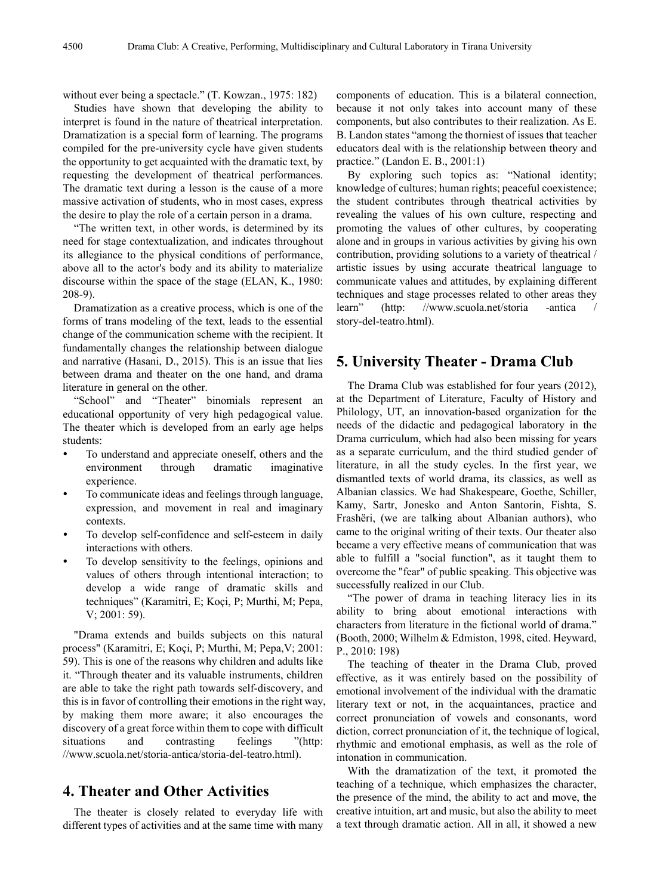without ever being a spectacle." (T. Kowzan., 1975: 182)

Studies have shown that developing the ability to interpret is found in the nature of theatrical interpretation. Dramatization is a special form of learning. The programs compiled for the pre-university cycle have given students the opportunity to get acquainted with the dramatic text, by requesting the development of theatrical performances. The dramatic text during a lesson is the cause of a more massive activation of students, who in most cases, express the desire to play the role of a certain person in a drama.

"The written text, in other words, is determined by its need for stage contextualization, and indicates throughout its allegiance to the physical conditions of performance, above all to the actor's body and its ability to materialize discourse within the space of the stage (ELAN, K., 1980: 208-9).

Dramatization as a creative process, which is one of the forms of trans modeling of the text, leads to the essential change of the communication scheme with the recipient. It fundamentally changes the relationship between dialogue and narrative (Hasani, D., 2015). This is an issue that lies between drama and theater on the one hand, and drama literature in general on the other.

"School" and "Theater" binomials represent an educational opportunity of very high pedagogical value. The theater which is developed from an early age helps students:

- To understand and appreciate oneself, others and the environment through dramatic imaginative experience.
- To communicate ideas and feelings through language, expression, and movement in real and imaginary contexts.
- To develop self-confidence and self-esteem in daily interactions with others.
- To develop sensitivity to the feelings, opinions and values of others through intentional interaction; to develop a wide range of dramatic skills and techniques" (Karamitri, E; Koçi, P; Murthi, M; Pepa, V; 2001: 59).

"Drama extends and builds subjects on this natural process" (Karamitri, E; Koçi, P; Murthi, M; Pepa,V; 2001: 59). This is one of the reasons why children and adults like it. "Through theater and its valuable instruments, children are able to take the right path towards self-discovery, and this is in favor of controlling their emotions in the right way, by making them more aware; it also encourages the discovery of a great force within them to cope with difficult situations and contrasting feelings "(http: //www.scuola.net/storia-antica/storia-del-teatro.html).

## **4. Theater and Other Activities**

The theater is closely related to everyday life with different types of activities and at the same time with many components of education. This is a bilateral connection, because it not only takes into account many of these components, but also contributes to their realization. As E. B. Landon states "among the thorniest of issues that teacher educators deal with is the relationship between theory and practice." (Landon E. B., 2001:1)

By exploring such topics as: "National identity; knowledge of cultures; human rights; peaceful coexistence; the student contributes through theatrical activities by revealing the values of his own culture, respecting and promoting the values of other cultures, by cooperating alone and in groups in various activities by giving his own contribution, providing solutions to a variety of theatrical / artistic issues by using accurate theatrical language to communicate values and attitudes, by explaining different techniques and stage processes related to other areas they learn" (http: //www.scuola.net/storia -antica story-del-teatro.html).

## **5. University Theater - Drama Club**

The Drama Club was established for four years (2012), at the Department of Literature, Faculty of History and Philology, UT, an innovation-based organization for the needs of the didactic and pedagogical laboratory in the Drama curriculum, which had also been missing for years as a separate curriculum, and the third studied gender of literature, in all the study cycles. In the first year, we dismantled texts of world drama, its classics, as well as Albanian classics. We had Shakespeare, Goethe, Schiller, Kamy, Sartr, Jonesko and Anton Santorin, Fishta, S. Frashëri, (we are talking about Albanian authors), who came to the original writing of their texts. Our theater also became a very effective means of communication that was able to fulfill a "social function", as it taught them to overcome the "fear" of public speaking. This objective was successfully realized in our Club.

"The power of drama in teaching literacy lies in its ability to bring about emotional interactions with characters from literature in the fictional world of drama." (Booth, 2000; Wilhelm & Edmiston, 1998, cited. Heyward, P., 2010: 198)

The teaching of theater in the Drama Club, proved effective, as it was entirely based on the possibility of emotional involvement of the individual with the dramatic literary text or not, in the acquaintances, practice and correct pronunciation of vowels and consonants, word diction, correct pronunciation of it, the technique of logical, rhythmic and emotional emphasis, as well as the role of intonation in communication.

With the dramatization of the text, it promoted the teaching of a technique, which emphasizes the character, the presence of the mind, the ability to act and move, the creative intuition, art and music, but also the ability to meet a text through dramatic action. All in all, it showed a new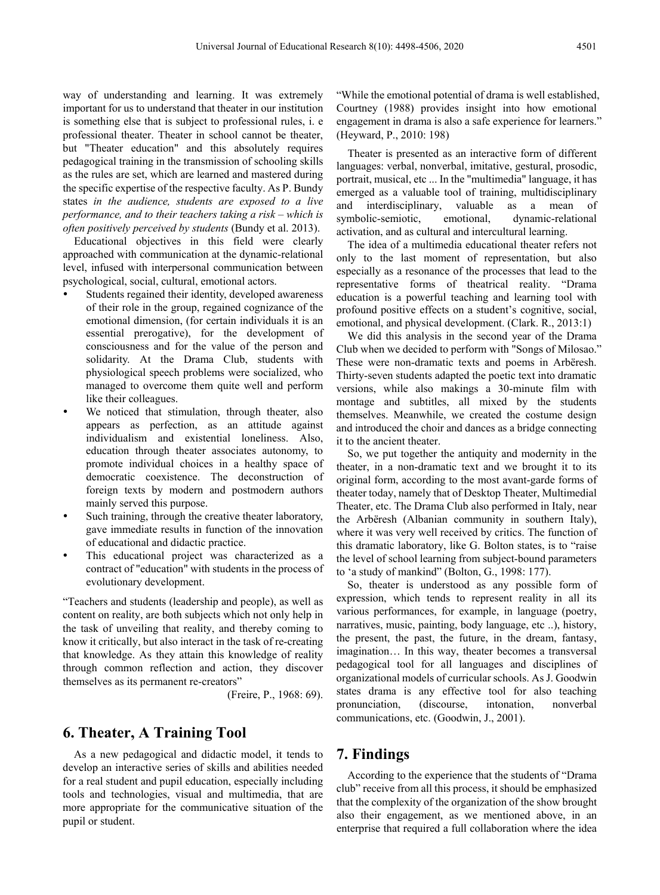way of understanding and learning. It was extremely important for us to understand that theater in our institution is something else that is subject to professional rules, i. e professional theater. Theater in school cannot be theater, but "Theater education" and this absolutely requires pedagogical training in the transmission of schooling skills as the rules are set, which are learned and mastered during the specific expertise of the respective faculty. As P. Bundy states *in the audience, students are exposed to a live performance, and to their teachers taking a risk – which is often positively perceived by students* (Bundy et al. 2013).

Educational objectives in this field were clearly approached with communication at the dynamic-relational level, infused with interpersonal communication between psychological, social, cultural, emotional actors.

- Students regained their identity, developed awareness of their role in the group, regained cognizance of the emotional dimension, (for certain individuals it is an essential prerogative), for the development of consciousness and for the value of the person and solidarity. At the Drama Club, students with physiological speech problems were socialized, who managed to overcome them quite well and perform like their colleagues.
- We noticed that stimulation, through theater, also appears as perfection, as an attitude against individualism and existential loneliness. Also, education through theater associates autonomy, to promote individual choices in a healthy space of democratic coexistence. The deconstruction of foreign texts by modern and postmodern authors mainly served this purpose.
- Such training, through the creative theater laboratory, gave immediate results in function of the innovation of educational and didactic practice.
- This educational project was characterized as a contract of "education" with students in the process of evolutionary development.

"Teachers and students (leadership and people), as well as content on reality, are both subjects which not only help in the task of unveiling that reality, and thereby coming to know it critically, but also interact in the task of re-creating that knowledge. As they attain this knowledge of reality through common reflection and action, they discover themselves as its permanent re-creators"

(Freire, P., 1968: 69).

## **6. Theater, A Training Tool**

As a new pedagogical and didactic model, it tends to develop an interactive series of skills and abilities needed for a real student and pupil education, especially including tools and technologies, visual and multimedia, that are more appropriate for the communicative situation of the pupil or student.

"While the emotional potential of drama is well established, Courtney (1988) provides insight into how emotional engagement in drama is also a safe experience for learners." (Heyward, P., 2010: 198)

Theater is presented as an interactive form of different languages: verbal, nonverbal, imitative, gestural, prosodic, portrait, musical, etc ... In the "multimedia" language, it has emerged as a valuable tool of training, multidisciplinary and interdisciplinary, valuable as a mean of symbolic-semiotic, emotional, dynamic-relational activation, and as cultural and intercultural learning.

The idea of a multimedia educational theater refers not only to the last moment of representation, but also especially as a resonance of the processes that lead to the representative forms of theatrical reality. "Drama education is a powerful teaching and learning tool with profound positive effects on a student's cognitive, social, emotional, and physical development. (Clark. R., 2013:1)

We did this analysis in the second year of the Drama Club when we decided to perform with "Songs of Milosao." These were non-dramatic texts and poems in Arbëresh. Thirty-seven students adapted the poetic text into dramatic versions, while also makings a 30-minute film with montage and subtitles, all mixed by the students themselves. Meanwhile, we created the costume design and introduced the choir and dances as a bridge connecting it to the ancient theater.

So, we put together the antiquity and modernity in the theater, in a non-dramatic text and we brought it to its original form, according to the most avant-garde forms of theater today, namely that of Desktop Theater, Multimedial Theater, etc. The Drama Club also performed in Italy, near the Arbëresh (Albanian community in southern Italy), where it was very well received by critics. The function of this dramatic laboratory, like G. Bolton states, is to "raise the level of school learning from subject-bound parameters to 'a study of mankind" (Bolton, G., 1998: 177).

So, theater is understood as any possible form of expression, which tends to represent reality in all its various performances, for example, in language (poetry, narratives, music, painting, body language, etc ..), history, the present, the past, the future, in the dream, fantasy, imagination… In this way, theater becomes a transversal pedagogical tool for all languages and disciplines of organizational models of curricular schools. As J. Goodwin states drama is any effective tool for also teaching pronunciation, (discourse, intonation, nonverbal communications, etc. (Goodwin, J., 2001).

## **7. Findings**

According to the experience that the students of "Drama club" receive from all this process, it should be emphasized that the complexity of the organization of the show brought also their engagement, as we mentioned above, in an enterprise that required a full collaboration where the idea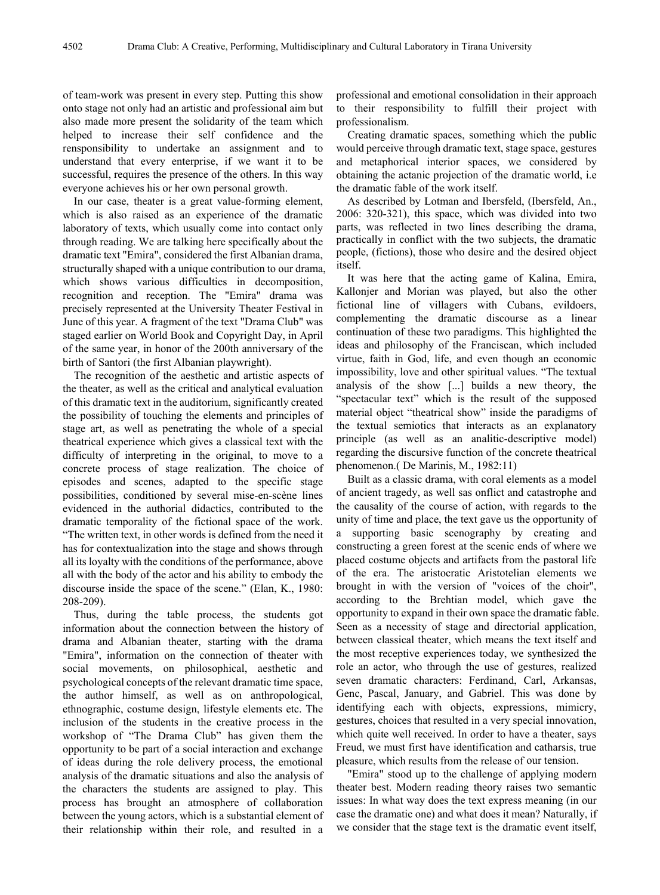of team-work was present in every step. Putting this show onto stage not only had an artistic and professional aim but also made more present the solidarity of the team which helped to increase their self confidence and the rensponsibility to undertake an assignment and to understand that every enterprise, if we want it to be successful, requires the presence of the others. In this way everyone achieves his or her own personal growth.

In our case, theater is a great value-forming element, which is also raised as an experience of the dramatic laboratory of texts, which usually come into contact only through reading. We are talking here specifically about the dramatic text "Emira", considered the first Albanian drama, structurally shaped with a unique contribution to our drama, which shows various difficulties in decomposition, recognition and reception. The "Emira" drama was precisely represented at the University Theater Festival in June of this year. A fragment of the text "Drama Club" was staged earlier on World Book and Copyright Day, in April of the same year, in honor of the 200th anniversary of the birth of Santori (the first Albanian playwright).

The recognition of the aesthetic and artistic aspects of the theater, as well as the critical and analytical evaluation of this dramatic text in the auditorium, significantly created the possibility of touching the elements and principles of stage art, as well as penetrating the whole of a special theatrical experience which gives a classical text with the difficulty of interpreting in the original, to move to a concrete process of stage realization. The choice of episodes and scenes, adapted to the specific stage possibilities, conditioned by several mise-en-scène lines evidenced in the authorial didactics, contributed to the dramatic temporality of the fictional space of the work. "The written text, in other words is defined from the need it has for contextualization into the stage and shows through all its loyalty with the conditions of the performance, above all with the body of the actor and his ability to embody the discourse inside the space of the scene." (Elan, K., 1980: 208-209).

Thus, during the table process, the students got information about the connection between the history of drama and Albanian theater, starting with the drama "Emira", information on the connection of theater with social movements, on philosophical, aesthetic and psychological concepts of the relevant dramatic time space, the author himself, as well as on anthropological, ethnographic, costume design, lifestyle elements etc. The inclusion of the students in the creative process in the workshop of "The Drama Club" has given them the opportunity to be part of a social interaction and exchange of ideas during the role delivery process, the emotional analysis of the dramatic situations and also the analysis of the characters the students are assigned to play. This process has brought an atmosphere of collaboration between the young actors, which is a substantial element of their relationship within their role, and resulted in a

professional and emotional consolidation in their approach to their responsibility to fulfill their project with professionalism.

Creating dramatic spaces, something which the public would perceive through dramatic text, stage space, gestures and metaphorical interior spaces, we considered by obtaining the actanic projection of the dramatic world, i.e the dramatic fable of the work itself.

As described by Lotman and Ibersfeld, (Ibersfeld, An., 2006: 320-321), this space, which was divided into two parts, was reflected in two lines describing the drama, practically in conflict with the two subjects, the dramatic people, (fictions), those who desire and the desired object itself.

It was here that the acting game of Kalina, Emira, Kallonjer and Morian was played, but also the other fictional line of villagers with Cubans, evildoers, complementing the dramatic discourse as a linear continuation of these two paradigms. This highlighted the ideas and philosophy of the Franciscan, which included virtue, faith in God, life, and even though an economic impossibility, love and other spiritual values. "The textual analysis of the show [...] builds a new theory, the "spectacular text" which is the result of the supposed material object "theatrical show" inside the paradigms of the textual semiotics that interacts as an explanatory principle (as well as an analitic-descriptive model) regarding the discursive function of the concrete theatrical phenomenon.( De Marinis, M., 1982:11)

Built as a classic drama, with coral elements as a model of ancient tragedy, as well sas onflict and catastrophe and the causality of the course of action, with regards to the unity of time and place, the text gave us the opportunity of a supporting basic scenography by creating and constructing a green forest at the scenic ends of where we placed costume objects and artifacts from the pastoral life of the era. The aristocratic Aristotelian elements we brought in with the version of "voices of the choir", according to the Brehtian model, which gave the opportunity to expand in their own space the dramatic fable. Seen as a necessity of stage and directorial application, between classical theater, which means the text itself and the most receptive experiences today, we synthesized the role an actor, who through the use of gestures, realized seven dramatic characters: Ferdinand, Carl, Arkansas, Genc, Pascal, January, and Gabriel. This was done by identifying each with objects, expressions, mimicry, gestures, choices that resulted in a very special innovation, which quite well received. In order to have a theater, says Freud, we must first have identification and catharsis, true pleasure, which results from the release of our tension.

"Emira" stood up to the challenge of applying modern theater best. Modern reading theory raises two semantic issues: In what way does the text express meaning (in our case the dramatic one) and what does it mean? Naturally, if we consider that the stage text is the dramatic event itself,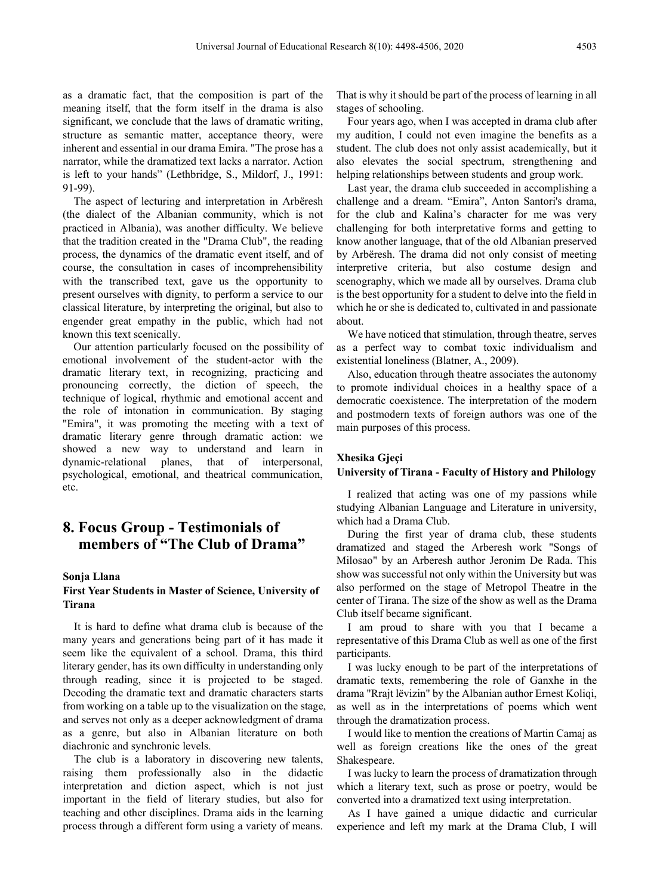as a dramatic fact, that the composition is part of the meaning itself, that the form itself in the drama is also significant, we conclude that the laws of dramatic writing, structure as semantic matter, acceptance theory, were inherent and essential in our drama Emira. "The prose has a narrator, while the dramatized text lacks a narrator. Action is left to your hands" (Lethbridge, S., Mildorf, J., 1991: 91-99).

The aspect of lecturing and interpretation in Arbëresh (the dialect of the Albanian community, which is not practiced in Albania), was another difficulty. We believe that the tradition created in the "Drama Club", the reading process, the dynamics of the dramatic event itself, and of course, the consultation in cases of incomprehensibility with the transcribed text, gave us the opportunity to present ourselves with dignity, to perform a service to our classical literature, by interpreting the original, but also to engender great empathy in the public, which had not known this text scenically.

Our attention particularly focused on the possibility of emotional involvement of the student-actor with the dramatic literary text, in recognizing, practicing and pronouncing correctly, the diction of speech, the technique of logical, rhythmic and emotional accent and the role of intonation in communication. By staging "Emira", it was promoting the meeting with a text of dramatic literary genre through dramatic action: we showed a new way to understand and learn in dynamic-relational planes, that of interpersonal, psychological, emotional, and theatrical communication, etc.

# **8. Focus Group - Testimonials of members of "The Club of Drama"**

#### **Sonja Llana**

### **First Year Students in Master of Science, University of Tirana**

It is hard to define what drama club is because of the many years and generations being part of it has made it seem like the equivalent of a school. Drama, this third literary gender, has its own difficulty in understanding only through reading, since it is projected to be staged. Decoding the dramatic text and dramatic characters starts from working on a table up to the visualization on the stage, and serves not only as a deeper acknowledgment of drama as a genre, but also in Albanian literature on both diachronic and synchronic levels.

The club is a laboratory in discovering new talents, raising them professionally also in the didactic interpretation and diction aspect, which is not just important in the field of literary studies, but also for teaching and other disciplines. Drama aids in the learning process through a different form using a variety of means.

That is why it should be part of the process of learning in all stages of schooling.

Four years ago, when I was accepted in drama club after my audition, I could not even imagine the benefits as a student. The club does not only assist academically, but it also elevates the social spectrum, strengthening and helping relationships between students and group work.

Last year, the drama club succeeded in accomplishing a challenge and a dream. "Emira", Anton Santori's drama, for the club and Kalina's character for me was very challenging for both interpretative forms and getting to know another language, that of the old Albanian preserved by Arbëresh. The drama did not only consist of meeting interpretive criteria, but also costume design and scenography, which we made all by ourselves. Drama club is the best opportunity for a student to delve into the field in which he or she is dedicated to, cultivated in and passionate about.

We have noticed that stimulation, through theatre, serves as a perfect way to combat toxic individualism and existential loneliness (Blatner, A., 2009).

Also, education through theatre associates the autonomy to promote individual choices in a healthy space of a democratic coexistence. The interpretation of the modern and postmodern texts of foreign authors was one of the main purposes of this process.

#### **Xhesika Gjeçi**

#### **University of Tirana - Faculty of History and Philology**

I realized that acting was one of my passions while studying Albanian Language and Literature in university, which had a Drama Club.

During the first year of drama club, these students dramatized and staged the Arberesh work "Songs of Milosao" by an Arberesh author Jeronim De Rada. This show was successful not only within the University but was also performed on the stage of Metropol Theatre in the center of Tirana. The size of the show as well as the Drama Club itself became significant.

I am proud to share with you that I became a representative of this Drama Club as well as one of the first participants.

I was lucky enough to be part of the interpretations of dramatic texts, remembering the role of Ganxhe in the drama "Rrajt lëvizin" by the Albanian author Ernest Koliqi, as well as in the interpretations of poems which went through the dramatization process.

I would like to mention the creations of Martin Camaj as well as foreign creations like the ones of the great Shakespeare.

I was lucky to learn the process of dramatization through which a literary text, such as prose or poetry, would be converted into a dramatized text using interpretation.

As I have gained a unique didactic and curricular experience and left my mark at the Drama Club, I will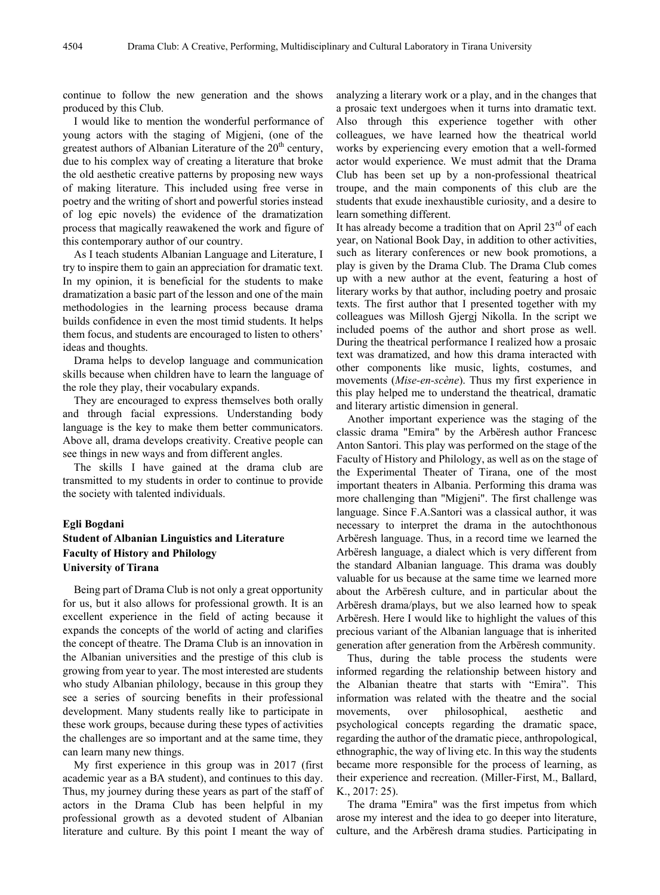continue to follow the new generation and the shows produced by this Club.

I would like to mention the wonderful performance of young actors with the staging of Migjeni, (one of the greatest authors of Albanian Literature of the  $20<sup>th</sup>$  century, due to his complex way of creating a literature that broke the old aesthetic creative patterns by proposing new ways of making literature. This included using free verse in poetry and the writing of short and powerful stories instead of log epic novels) the evidence of the dramatization process that magically reawakened the work and figure of this contemporary author of our country.

As I teach students Albanian Language and Literature, I try to inspire them to gain an appreciation for dramatic text. In my opinion, it is beneficial for the students to make dramatization a basic part of the lesson and one of the main methodologies in the learning process because drama builds confidence in even the most timid students. It helps them focus, and students are encouraged to listen to others' ideas and thoughts.

Drama helps to develop language and communication skills because when children have to learn the language of the role they play, their vocabulary expands.

They are encouraged to express themselves both orally and through facial expressions. Understanding body language is the key to make them better communicators. Above all, drama develops creativity. Creative people can see things in new ways and from different angles.

The skills I have gained at the drama club are transmitted to my students in order to continue to provide the society with talented individuals.

#### **Egli Bogdani**

## **Student of Albanian Linguistics and Literature Faculty of History and Philology University of Tirana**

Being part of Drama Club is not only a great opportunity for us, but it also allows for professional growth. It is an excellent experience in the field of acting because it expands the concepts of the world of acting and clarifies the concept of theatre. The Drama Club is an innovation in the Albanian universities and the prestige of this club is growing from year to year. The most interested are students who study Albanian philology, because in this group they see a series of sourcing benefits in their professional development. Many students really like to participate in these work groups, because during these types of activities the challenges are so important and at the same time, they can learn many new things.

My first experience in this group was in 2017 (first academic year as a BA student), and continues to this day. Thus, my journey during these years as part of the staff of actors in the Drama Club has been helpful in my professional growth as a devoted student of Albanian literature and culture. By this point I meant the way of analyzing a literary work or a play, and in the changes that a prosaic text undergoes when it turns into dramatic text. Also through this experience together with other colleagues, we have learned how the theatrical world works by experiencing every emotion that a well-formed actor would experience. We must admit that the Drama Club has been set up by a non-professional theatrical troupe, and the main components of this club are the students that exude inexhaustible curiosity, and a desire to learn something different.

It has already become a tradition that on April  $23<sup>rd</sup>$  of each year, on National Book Day, in addition to other activities, such as literary conferences or new book promotions, a play is given by the Drama Club. The Drama Club comes up with a new author at the event, featuring a host of literary works by that author, including poetry and prosaic texts. The first author that I presented together with my colleagues was Millosh Gjergj Nikolla. In the script we included poems of the author and short prose as well. During the theatrical performance I realized how a prosaic text was dramatized, and how this drama interacted with other components like music, lights, costumes, and movements (*Mise-en-scène*). Thus my first experience in this play helped me to understand the theatrical, dramatic and literary artistic dimension in general.

Another important experience was the staging of the classic drama "Emira" by the Arbëresh author Francesc Anton Santori. This play was performed on the stage of the Faculty of History and Philology, as well as on the stage of the Experimental Theater of Tirana, one of the most important theaters in Albania. Performing this drama was more challenging than "Migjeni". The first challenge was language. Since F.A.Santori was a classical author, it was necessary to interpret the drama in the autochthonous Arbëresh language. Thus, in a record time we learned the Arbëresh language, a dialect which is very different from the standard Albanian language. This drama was doubly valuable for us because at the same time we learned more about the Arbëresh culture, and in particular about the Arbëresh drama/plays, but we also learned how to speak Arbëresh. Here I would like to highlight the values of this precious variant of the Albanian language that is inherited generation after generation from the Arbëresh community.

Thus, during the table process the students were informed regarding the relationship between history and the Albanian theatre that starts with "Emira". This information was related with the theatre and the social movements, over philosophical, aesthetic and psychological concepts regarding the dramatic space, regarding the author of the dramatic piece, anthropological, ethnographic, the way of living etc. In this way the students became more responsible for the process of learning, as their experience and recreation. (Miller-First, M., Ballard, K., 2017: 25).

The drama "Emira" was the first impetus from which arose my interest and the idea to go deeper into literature, culture, and the Arbëresh drama studies. Participating in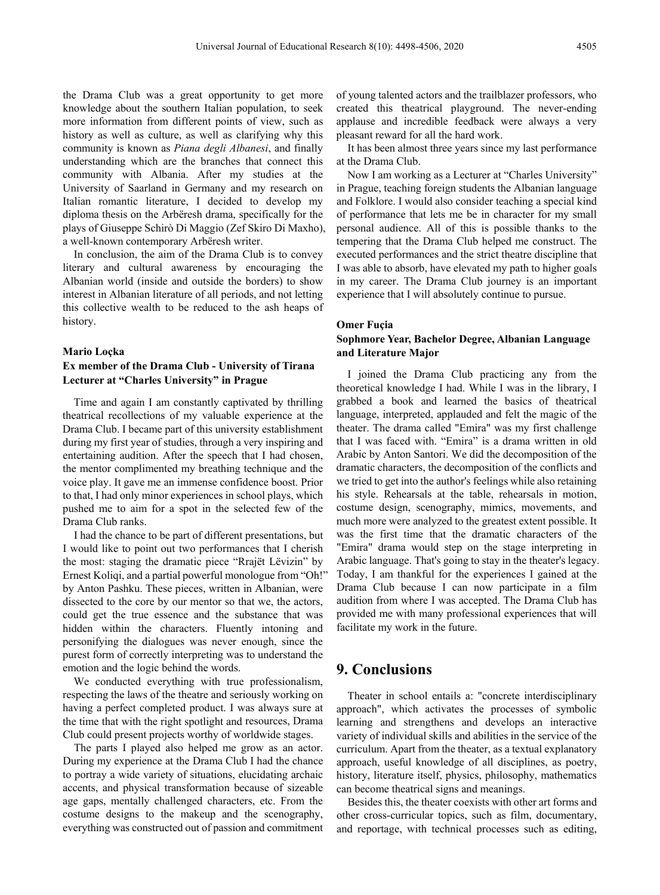the Drama Club was a great opportunity to get more knowledge about the southern Italian population, to seek more information from different points of view, such as history as well as culture, as well as clarifying why this community is known as *Piana degli Albanesi*, and finally understanding which are the branches that connect this community with Albania. After my studies at the University of Saarland in Germany and my research on Italian romantic literature, I decided to develop my diploma thesis on the Arbëresh drama, specifically for the plays of Giuseppe Schirò Di Maggio (Zef Skiro Di Maxho), a well-known contemporary Arbëresh writer.

In conclusion, the aim of the Drama Club is to convey literary and cultural awareness by encouraging the Albanian world (inside and outside the borders) to show interest in Albanian literature of all periods, and not letting this collective wealth to be reduced to the ash heaps of history.

#### **Mario Loçka**

## **Ex member of the Drama Club - University of Tirana Lecturer at "Charles University" in Prague**

Time and again I am constantly captivated by thrilling theatrical recollections of my valuable experience at the Drama Club. I became part of this university establishment during my first year of studies, through a very inspiring and entertaining audition. After the speech that I had chosen, the mentor complimented my breathing technique and the voice play. It gave me an immense confidence boost. Prior to that, I had only minor experiences in school plays, which pushed me to aim for a spot in the selected few of the Drama Club ranks.

I had the chance to be part of different presentations, but I would like to point out two performances that I cherish the most: staging the dramatic piece "Rrajët Lëvizin" by Ernest Koliqi, and a partial powerful monologue from "Oh!" by Anton Pashku. These pieces, written in Albanian, were dissected to the core by our mentor so that we, the actors, could get the true essence and the substance that was hidden within the characters. Fluently intoning and personifying the dialogues was never enough, since the purest form of correctly interpreting was to understand the emotion and the logic behind the words.

We conducted everything with true professionalism, respecting the laws of the theatre and seriously working on having a perfect completed product. I was always sure at the time that with the right spotlight and resources, Drama Club could present projects worthy of worldwide stages.

The parts I played also helped me grow as an actor. During my experience at the Drama Club I had the chance to portray a wide variety of situations, elucidating archaic accents, and physical transformation because of sizeable age gaps, mentally challenged characters, etc. From the costume designs to the makeup and the scenography, everything was constructed out of passion and commitment

of young talented actors and the trailblazer professors, who created this theatrical playground. The never-ending applause and incredible feedback were always a very pleasant reward for all the hard work.

It has been almost three years since my last performance at the Drama Club.

Now I am working as a Lecturer at "Charles University" in Prague, teaching foreign students the Albanian language and Folklore. I would also consider teaching a special kind of performance that lets me be in character for my small personal audience. All of this is possible thanks to the tempering that the Drama Club helped me construct. The executed performances and the strict theatre discipline that I was able to absorb, have elevated my path to higher goals in my career. The Drama Club journey is an important experience that I will absolutely continue to pursue.

#### **Omer Fuçia**

### **Sophmore Year, Bachelor Degree, Albanian Language and Literature Major**

I joined the Drama Club practicing any from the theoretical knowledge I had. While I was in the library, I grabbed a book and learned the basics of theatrical language, interpreted, applauded and felt the magic of the theater. The drama called "Emira" was my first challenge that I was faced with. "Emira" is a drama written in old Arabic by Anton Santori. We did the decomposition of the dramatic characters, the decomposition of the conflicts and we tried to get into the author's feelings while also retaining his style. Rehearsals at the table, rehearsals in motion, costume design, scenography, mimics, movements, and much more were analyzed to the greatest extent possible. It was the first time that the dramatic characters of the "Emira" drama would step on the stage interpreting in Arabic language. That's going to stay in the theater's legacy. Today, I am thankful for the experiences I gained at the Drama Club because I can now participate in a film audition from where I was accepted. The Drama Club has provided me with many professional experiences that will facilitate my work in the future.

## **9. Conclusions**

Theater in school entails a: "concrete interdisciplinary approach", which activates the processes of symbolic learning and strengthens and develops an interactive variety of individual skills and abilities in the service of the curriculum. Apart from the theater, as a textual explanatory approach, useful knowledge of all disciplines, as poetry, history, literature itself, physics, philosophy, mathematics can become theatrical signs and meanings.

Besides this, the theater coexists with other art forms and other cross-curricular topics, such as film, documentary, and reportage, with technical processes such as editing,